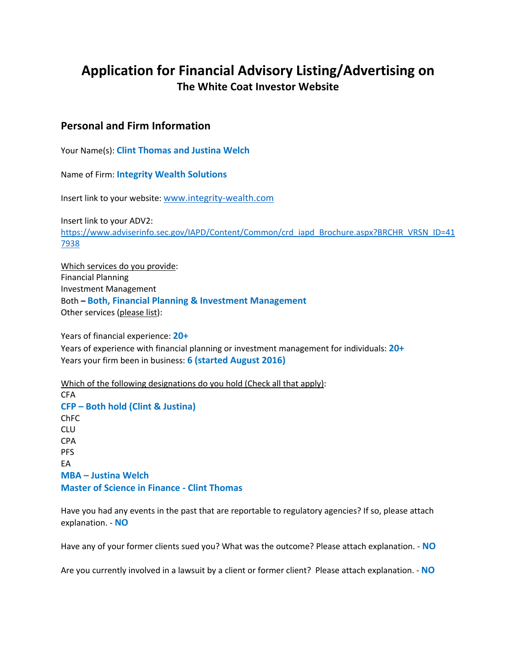# **Application for Financial Advisory Listing/Advertising on The White Coat Investor Website**

# **Personal and Firm Information**

Your Name(s): **Clint Thomas and Justina Welch**

Name of Firm: **Integrity Wealth Solutions**

Insert link to your website: www.integrity-wealth.com

Insert link to your ADV2: https://www.adviserinfo.sec.gov/IAPD/Content/Common/crd\_iapd\_Brochure.aspx?BRCHR\_VRSN\_ID=41 7938

Which services do you provide: Financial Planning Investment Management Both **– Both, Financial Planning & Investment Management** Other services (please list):

Years of financial experience: **20+** Years of experience with financial planning or investment management for individuals: **20+** Years your firm been in business: **6 (started August 2016)**

Which of the following designations do you hold (Check all that apply): CFA **CFP – Both hold (Clint & Justina)** ChFC CLU CPA PFS EA **MBA – Justina Welch Master of Science in Finance - Clint Thomas**

Have you had any events in the past that are reportable to regulatory agencies? If so, please attach explanation. - **NO**

Have any of your former clients sued you? What was the outcome? Please attach explanation. - **NO**

Are you currently involved in a lawsuit by a client or former client? Please attach explanation. - **NO**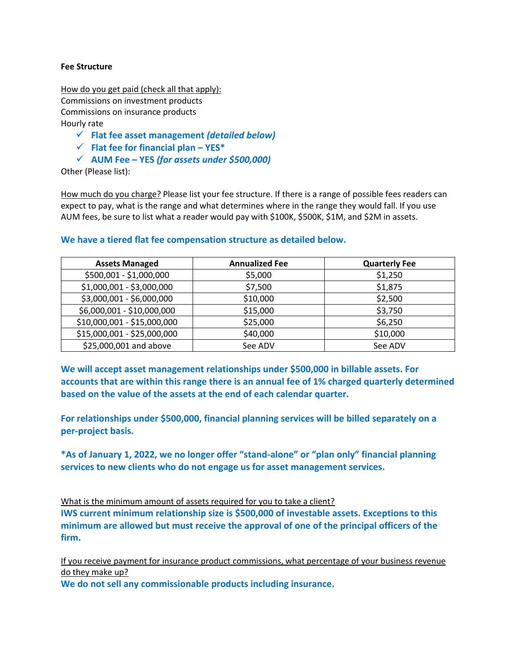#### **Fee Structure**

How do you get paid (check all that apply): Commissions on investment products Commissions on insurance products Hourly rate

- ü **Flat fee asset management** *(detailed below)*
- ü **Flat fee for financial plan – YES\***
- ü **AUM Fee – YES** *(for assets under \$500,000)*

Other (Please list):

How much do you charge? Please list your fee structure. If there is a range of possible fees readers can expect to pay, what is the range and what determines where in the range they would fall. If you use AUM fees, be sure to list what a reader would pay with \$100K, \$500K, \$1M, and \$2M in assets.

# **Assets Managed Annualized Fee Quarterly Fee** \$500,001 - \$1,000,000 \$5,000 \$1,250  $$1,000,001$  -  $$3,000,000$  |  $$7,500$  | \$1,875  $$3,000,001$  -  $$6,000,000$   $\qquad \qquad \qquad$   $$10,000$   $\qquad \qquad$   $\qquad \qquad$   $$2,500$ \$6,000,001 - \$10,000,000 \$15,000 \$15,000 \$3,750 \$10,000,001 - \$15,000,000 \$25,000 \$6,250 \$15,000,001 - \$25,000,000 \$40,000 \$40,000 \$10,000 \$25,000,001 and above See ADV See ADV See ADV

#### **We have a tiered flat fee compensation structure as detailed below.**

**We will accept asset management relationships under \$500,000 in billable assets. For accounts that are within this range there is an annual fee of 1% charged quarterly determined based on the value of the assets at the end of each calendar quarter.** 

**For relationships under \$500,000, financial planning services will be billed separately on a per-project basis.**

**\*As of January 1, 2022, we no longer offer "stand-alone" or "plan only" financial planning services to new clients who do not engage us for asset management services.** 

What is the minimum amount of assets required for you to take a client?

**IWS current minimum relationship size is \$500,000 of investable assets. Exceptions to this minimum are allowed but must receive the approval of one of the principal officers of the firm.**

If you receive payment for insurance product commissions, what percentage of your business revenue do they make up?

**We do not sell any commissionable products including insurance.**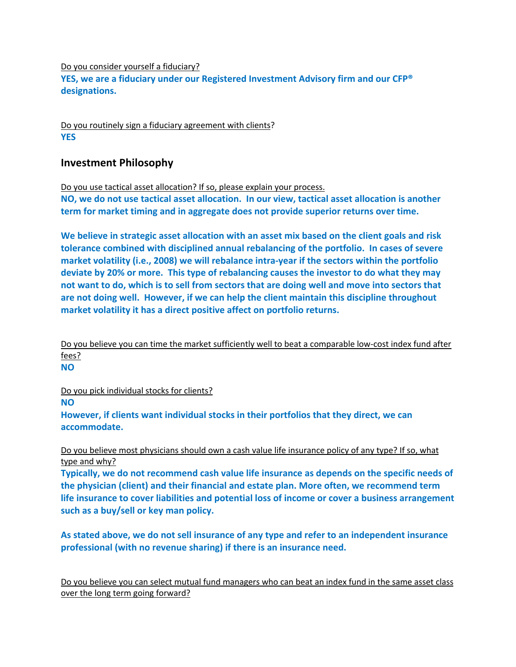#### Do you consider yourself a fiduciary?

**YES, we are a fiduciary under our Registered Investment Advisory firm and our CFP® designations.**

Do you routinely sign a fiduciary agreement with clients? **YES**

# **Investment Philosophy**

Do you use tactical asset allocation? If so, please explain your process.

**NO, we do not use tactical asset allocation. In our view, tactical asset allocation is another term for market timing and in aggregate does not provide superior returns over time.** 

**We believe in strategic asset allocation with an asset mix based on the client goals and risk tolerance combined with disciplined annual rebalancing of the portfolio. In cases of severe market volatility (i.e., 2008) we will rebalance intra-year if the sectors within the portfolio deviate by 20% or more. This type of rebalancing causes the investor to do what they may not want to do, which is to sell from sectors that are doing well and move into sectors that are not doing well. However, if we can help the client maintain this discipline throughout market volatility it has a direct positive affect on portfolio returns.**

Do you believe you can time the market sufficiently well to beat a comparable low-cost index fund after fees?

**NO**

Do you pick individual stocks for clients?

**NO**

**However, if clients want individual stocks in their portfolios that they direct, we can accommodate.**

Do you believe most physicians should own a cash value life insurance policy of any type? If so, what type and why?

**Typically, we do not recommend cash value life insurance as depends on the specific needs of the physician (client) and their financial and estate plan. More often, we recommend term life insurance to cover liabilities and potential loss of income or cover a business arrangement such as a buy/sell or key man policy.**

**As stated above, we do not sell insurance of any type and refer to an independent insurance professional (with no revenue sharing) if there is an insurance need.**

Do you believe you can select mutual fund managers who can beat an index fund in the same asset class over the long term going forward?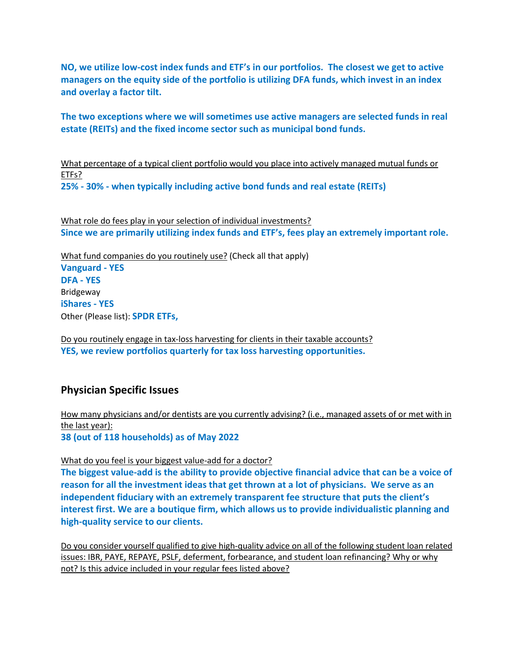**NO, we utilize low-cost index funds and ETF's in our portfolios. The closest we get to active managers on the equity side of the portfolio is utilizing DFA funds, which invest in an index and overlay a factor tilt.** 

**The two exceptions where we will sometimes use active managers are selected funds in real estate (REITs) and the fixed income sector such as municipal bond funds.**

What percentage of a typical client portfolio would you place into actively managed mutual funds or ETFs? **25% - 30% - when typically including active bond funds and real estate (REITs)**

What role do fees play in your selection of individual investments? **Since we are primarily utilizing index funds and ETF's, fees play an extremely important role.**

What fund companies do you routinely use? (Check all that apply) **Vanguard - YES DFA - YES** Bridgeway **iShares - YES** Other (Please list): **SPDR ETFs,**

Do you routinely engage in tax-loss harvesting for clients in their taxable accounts? **YES, we review portfolios quarterly for tax loss harvesting opportunities.**

# **Physician Specific Issues**

How many physicians and/or dentists are you currently advising? (i.e., managed assets of or met with in the last year): **38 (out of 118 households) as of May 2022**

What do you feel is your biggest value-add for a doctor?

**The biggest value-add is the ability to provide objective financial advice that can be a voice of reason for all the investment ideas that get thrown at a lot of physicians. We serve as an independent fiduciary with an extremely transparent fee structure that puts the client's interest first. We are a boutique firm, which allows us to provide individualistic planning and high-quality service to our clients.** 

Do you consider yourself qualified to give high-quality advice on all of the following student loan related issues: IBR, PAYE, REPAYE, PSLF, deferment, forbearance, and student loan refinancing? Why or why not? Is this advice included in your regular fees listed above?